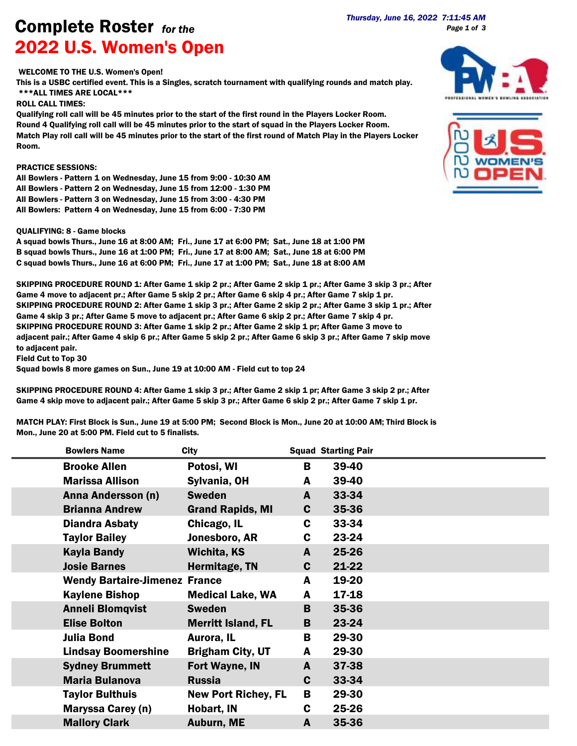**Complete Roster** *for the*<br><sup>2022 7:11:45 AM **Complete Roster** *for the*</sup> 2022 U.S. Women's Open

*Page 1 of 3*

## WELCOME TO THE U.S. Women's Open!

This is a USBC certified event. This is a Singles, scratch tournament with qualifying rounds and match play. \*\*\*ALL TIMES ARE LOCAL\*\*\*

## ROLL CALL TIMES:

Qualifying roll call will be 45 minutes prior to the start of the first round in the Players Locker Room. Round 4 Qualifying roll call will be 45 minutes prior to the start of squad in the Players Locker Room. Match Play roll call will be 45 minutes prior to the start of the first round of Match Play in the Players Locker Room.

## PRACTICE SESSIONS:

All Bowlers - Pattern 1 on Wednesday, June 15 from 9:00 - 10:30 AM All Bowlers - Pattern 2 on Wednesday, June 15 from 12:00 - 1:30 PM All Bowlers - Pattern 3 on Wednesday, June 15 from 3:00 - 4:30 PM All Bowlers: Pattern 4 on Wednesday, June 15 from 6:00 - 7:30 PM

## QUALIFYING: 8 - Game blocks

A squad bowls Thurs., June 16 at 8:00 AM; Fri., June 17 at 6:00 PM; Sat., June 18 at 1:00 PM B squad bowls Thurs., June 16 at 1:00 PM; Fri., June 17 at 8:00 AM; Sat., June 18 at 6:00 PM C squad bowls Thurs., June 16 at 6:00 PM; Fri., June 17 at 1:00 PM; Sat., June 18 at 8:00 AM

SKIPPING PROCEDURE ROUND 1: After Game 1 skip 2 pr.; After Game 2 skip 1 pr.; After Game 3 skip 3 pr.; After Game 4 move to adjacent pr.; After Game 5 skip 2 pr.; After Game 6 skip 4 pr.; After Game 7 skip 1 pr. SKIPPING PROCEDURE ROUND 2: After Game 1 skip 3 pr.; After Game 2 skip 2 pr.; After Game 3 skip 1 pr.; After Game 4 skip 3 pr.; After Game 5 move to adjacent pr.; After Game 6 skip 2 pr.; After Game 7 skip 4 pr. SKIPPING PROCEDURE ROUND 3: After Game 1 skip 2 pr.; After Game 2 skip 1 pr; After Game 3 move to adjacent pair.; After Game 4 skip 6 pr.; After Game 5 skip 2 pr.; After Game 6 skip 3 pr.; After Game 7 skip move to adjacent pair.

Field Cut to Top 30

Squad bowls 8 more games on Sun., June 19 at 10:00 AM - Field cut to top 24

SKIPPING PROCEDURE ROUND 4: After Game 1 skip 3 pr.; After Game 2 skip 1 pr; After Game 3 skip 2 pr.; After Game 4 skip move to adjacent pair.; After Game 5 skip 3 pr.; After Game 6 skip 2 pr.; After Game 7 skip 1 pr.

MATCH PLAY: First Block is Sun., June 19 at 5:00 PM; Second Block is Mon., June 20 at 10:00 AM; Third Block is Mon., June 20 at 5:00 PM. Field cut to 5 finalists.

| <b>Bowlers Name</b>                  | City                       |   | <b>Squad Starting Pair</b> |  |
|--------------------------------------|----------------------------|---|----------------------------|--|
| <b>Brooke Allen</b>                  | Potosi, WI                 | B | 39-40                      |  |
| <b>Marissa Allison</b>               | Sylvania, OH               | A | 39-40                      |  |
| Anna Andersson (n)                   | <b>Sweden</b>              | A | 33-34                      |  |
| <b>Brianna Andrew</b>                | <b>Grand Rapids, MI</b>    | C | 35-36                      |  |
| <b>Diandra Asbaty</b>                | Chicago, IL                | C | 33-34                      |  |
| <b>Taylor Bailey</b>                 | Jonesboro, AR              | C | 23-24                      |  |
| <b>Kayla Bandy</b>                   | Wichita, KS                | A | 25-26                      |  |
| <b>Josie Barnes</b>                  | Hermitage, TN              | C | $21 - 22$                  |  |
| <b>Wendy Bartaire-Jimenez France</b> |                            | A | 19-20                      |  |
| <b>Kaylene Bishop</b>                | <b>Medical Lake, WA</b>    | A | 17-18                      |  |
| <b>Anneli Blomqvist</b>              | <b>Sweden</b>              | B | 35-36                      |  |
| <b>Elise Bolton</b>                  | <b>Merritt Island, FL</b>  | B | 23-24                      |  |
| <b>Julia Bond</b>                    | Aurora, IL                 | В | 29-30                      |  |
| <b>Lindsay Boomershine</b>           | <b>Brigham City, UT</b>    | A | 29-30                      |  |
| <b>Sydney Brummett</b>               | Fort Wayne, IN             | A | 37-38                      |  |
| <b>Maria Bulanova</b>                | <b>Russia</b>              | C | 33-34                      |  |
| <b>Taylor Bulthuis</b>               | <b>New Port Richey, FL</b> | В | 29-30                      |  |
| <b>Maryssa Carey (n)</b>             | Hobart, IN                 | C | 25-26                      |  |
| <b>Mallory Clark</b>                 | <b>Auburn, ME</b>          | A | 35-36                      |  |



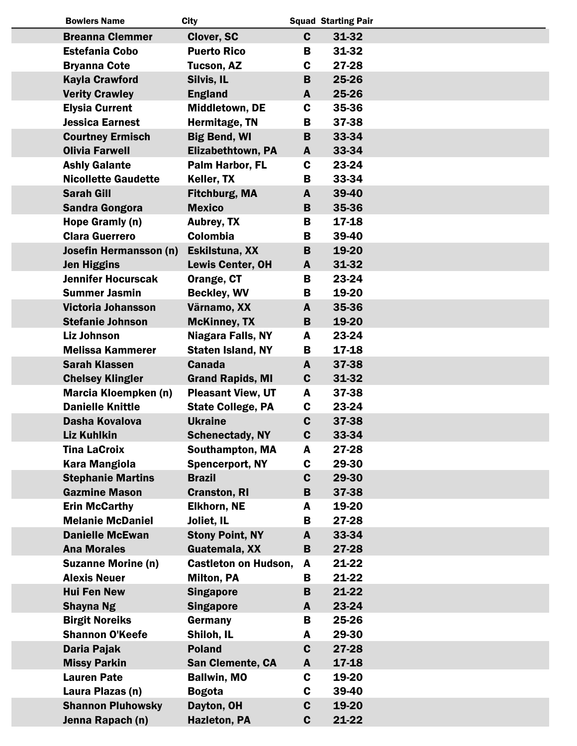| <b>Bowlers Name</b>         | <b>City</b>                 |              | <b>Squad Starting Pair</b> |  |
|-----------------------------|-----------------------------|--------------|----------------------------|--|
| <b>Breanna Clemmer</b>      | Clover, SC                  | $\mathbf{C}$ | 31-32                      |  |
| <b>Estefania Cobo</b>       | <b>Puerto Rico</b>          | B            | 31-32                      |  |
| <b>Bryanna Cote</b>         | Tucson, AZ                  | C            | 27-28                      |  |
| <b>Kayla Crawford</b>       | Silvis, IL                  | B            | 25-26                      |  |
| <b>Verity Crawley</b>       | <b>England</b>              | A            | 25-26                      |  |
| <b>Elysia Current</b>       | Middletown, DE              | $\mathbf c$  | 35-36                      |  |
| <b>Jessica Earnest</b>      | Hermitage, TN               | B            | 37-38                      |  |
| <b>Courtney Ermisch</b>     | <b>Big Bend, WI</b>         | B            | 33-34                      |  |
| <b>Olivia Farwell</b>       | <b>Elizabethtown, PA</b>    | A            | 33-34                      |  |
| <b>Ashly Galante</b>        | Palm Harbor, FL             | C            | 23-24                      |  |
| <b>Nicollette Gaudette</b>  | Keller, TX                  | В            | 33-34                      |  |
| <b>Sarah Gill</b>           | <b>Fitchburg, MA</b>        | A            | 39-40                      |  |
| <b>Sandra Gongora</b>       | <b>Mexico</b>               | B            | 35-36                      |  |
| Hope Gramly (n)             | <b>Aubrey, TX</b>           | B            | 17-18                      |  |
| <b>Clara Guerrero</b>       | <b>Colombia</b>             | B            | 39-40                      |  |
| Josefin Hermansson (n)      | Eskilstuna, XX              | B            | 19-20                      |  |
| <b>Jen Higgins</b>          | <b>Lewis Center, OH</b>     | A            | 31-32                      |  |
| <b>Jennifer Hocurscak</b>   | Orange, CT                  | B            | 23-24                      |  |
| <b>Summer Jasmin</b>        | <b>Beckley, WV</b>          | B            | 19-20                      |  |
| Victoria Johansson          | Värnamo, XX                 | $\mathbf{A}$ | 35-36                      |  |
| <b>Stefanie Johnson</b>     | <b>McKinney, TX</b>         | B            | 19-20                      |  |
| <b>Liz Johnson</b>          | Niagara Falls, NY           | A            | 23-24                      |  |
| <b>Melissa Kammerer</b>     | <b>Staten Island, NY</b>    | В            | 17-18                      |  |
| <b>Sarah Klassen</b>        | <b>Canada</b>               | A            | 37-38                      |  |
| <b>Chelsey Klingler</b>     | <b>Grand Rapids, MI</b>     | $\mathbf c$  | 31-32                      |  |
| <b>Marcia Kloempken (n)</b> | <b>Pleasant View, UT</b>    | A            | 37-38                      |  |
| <b>Danielle Knittle</b>     | <b>State College, PA</b>    | C            | 23-24                      |  |
| Dasha Kovalova              | <b>Ukraine</b>              | $\mathbf c$  | 37-38                      |  |
| <b>Liz Kuhlkin</b>          | <b>Schenectady, NY</b>      | C            | 33-34                      |  |
| <b>Tina LaCroix</b>         | <b>Southampton, MA</b>      | A            | 27-28                      |  |
| <b>Kara Mangiola</b>        | <b>Spencerport, NY</b>      | C            | 29-30                      |  |
| <b>Stephanie Martins</b>    | <b>Brazil</b>               | C            | 29-30                      |  |
| <b>Gazmine Mason</b>        | <b>Cranston, RI</b>         | B            | 37-38                      |  |
| <b>Erin McCarthy</b>        | <b>Elkhorn, NE</b>          | A            | 19-20                      |  |
| <b>Melanie McDaniel</b>     | Joliet, IL                  | B            | 27-28                      |  |
| <b>Danielle McEwan</b>      | <b>Stony Point, NY</b>      | A            | 33-34                      |  |
| <b>Ana Morales</b>          | Guatemala, XX               | B            | 27-28                      |  |
| <b>Suzanne Morine (n)</b>   | <b>Castleton on Hudson,</b> | A            | 21-22                      |  |
| <b>Alexis Neuer</b>         | <b>Milton, PA</b>           | В            | 21-22                      |  |
| <b>Hui Fen New</b>          | <b>Singapore</b>            | B            | 21-22                      |  |
| <b>Shayna Ng</b>            | <b>Singapore</b>            | A            | 23-24                      |  |
| <b>Birgit Noreiks</b>       | Germany                     | В            | 25-26                      |  |
| <b>Shannon O'Keefe</b>      | Shiloh, IL                  | A            | 29-30                      |  |
| <b>Daria Pajak</b>          | <b>Poland</b>               | $\mathbf c$  | 27-28                      |  |
| <b>Missy Parkin</b>         | San Clemente, CA            | A            | 17-18                      |  |
| <b>Lauren Pate</b>          | <b>Ballwin, MO</b>          | C            | 19-20                      |  |
| Laura Plazas (n)            | <b>Bogota</b>               | C            | 39-40                      |  |
| <b>Shannon Pluhowsky</b>    | Dayton, OH                  | $\mathbf c$  | 19-20                      |  |
| Jenna Rapach (n)            | <b>Hazleton, PA</b>         | $\mathbf c$  | 21-22                      |  |